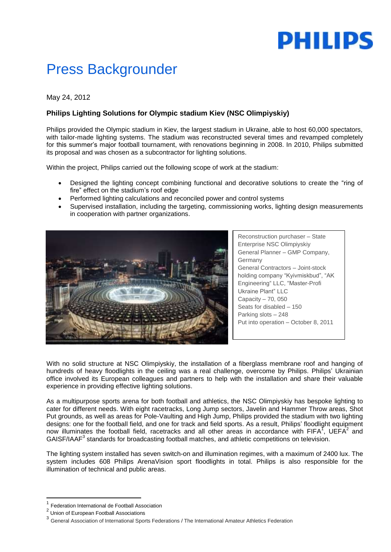# **PHILIPS**

# Press Backgrounder

## May 24, 2012

## **Philips Lighting Solutions for Olympic stadium Kiev (NSC Olimpiyskiy)**

Philips provided the Olympic stadium in Kiev, the largest stadium in Ukraine, able to host 60,000 spectators, with tailor-made lighting systems. The stadium was reconstructed several times and revamped completely for this summer's major football tournament, with renovations beginning in 2008. In 2010, Philips submitted its proposal and was chosen as a subcontractor for lighting solutions.

Within the project, Philips carried out the following scope of work at the stadium:

- Designed the lighting concept combining functional and decorative solutions to create the "ring of fire" effect on the stadium's roof edge
- Performed lighting calculations and reconciled power and control systems
- Supervised installation, including the targeting, commissioning works, lighting design measurements in cooperation with partner organizations.



Reconstruction purchaser – State Enterprise NSC Olimpiyskiy General Planner – GMP Company, Germany General Contractors – Joint-stock holding company "Kyivmiskbud", "AK Engineering" LLC, "Master-Profi Ukraine Plant" LLC Capacity – 70, 050 Seats for disabled – 150 Parking slots – 248 Put into operation – October 8, 2011

With no solid structure at NSC Olimpiyskiy, the installation of a fiberglass membrane roof and hanging of hundreds of heavy floodlights in the ceiling was a real challenge, overcome by Philips. Philips' Ukrainian office involved its European colleagues and partners to help with the installation and share their valuable experience in providing effective lighting solutions.

As a multipurpose sports arena for both football and athletics, the NSC Olimpiyskiy has bespoke lighting to cater for different needs. With eight racetracks, Long Jump sectors, Javelin and Hammer Throw areas, Shot Put grounds, as well as areas for Pole-Vaulting and High Jump, Philips provided the stadium with two lighting designs: one for the football field, and one for track and field sports. As a result, Philips' floodlight equipment now illuminates the football field, racetracks and all other areas in accordance with FIFA<sup>T</sup>, UEFA<sup>2</sup> and GAISF/IAAF<sup>3</sup> standards for broadcasting football matches, and athletic competitions on television.

The lighting system installed has seven switch-on and illumination regimes, with a maximum of 2400 lux. The system includes 608 Philips ArenaVision sport floodlights in total. Philips is also responsible for the illumination of technical and public areas.

**.** 

<sup>1</sup> Federation International de Football Association

<sup>&</sup>lt;sup>2</sup> Union of European Football Associations

<sup>&</sup>lt;sup>3</sup> General Association of International Sports Federations / The International Amateur Athletics Federation